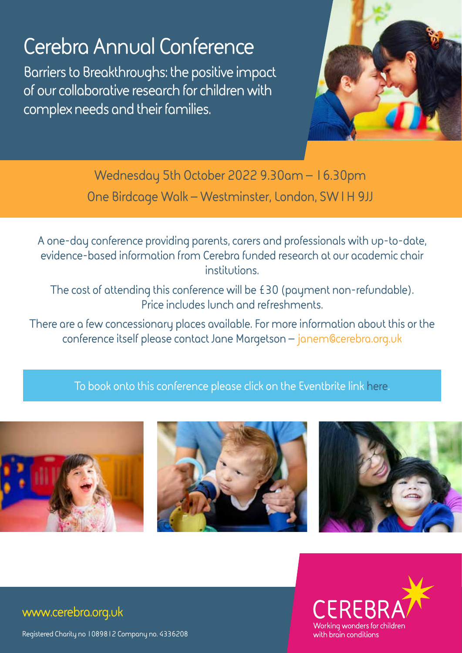## **Cerebra Annual Conference**

**Barriers to Breakthroughs: the positive impact of our collaborative research for children with complex needs and their families.**



**Wednesday 5th October 2022 9.30am – 16.30pm One Birdcage Walk – Westminster, London, SW1H 9JJ**

**A one-day conference providing parents, carers and professionals with up-to-date, evidence-based information from Cerebra funded research at our academic chair institutions.** 

**The cost of attending this conference will be £30 (payment non-refundable). Price includes lunch and refreshments.**

**There are a few concessionary places available. For more information about this or the conference itself please contact Jane Margetson – [janem@cerebra.org.uk](mailto:janem%40cerebra.org.uk?subject=)**

**To book onto this conference please click on the Eventbrite link [here.](https://www.eventbrite.co.uk/e/cerebra-annual-research-conference-2022-tickets-352768037697 

)**









## **www.cerebra.org.uk**

**Registered Charity no 1089812 Company no. 4336208**